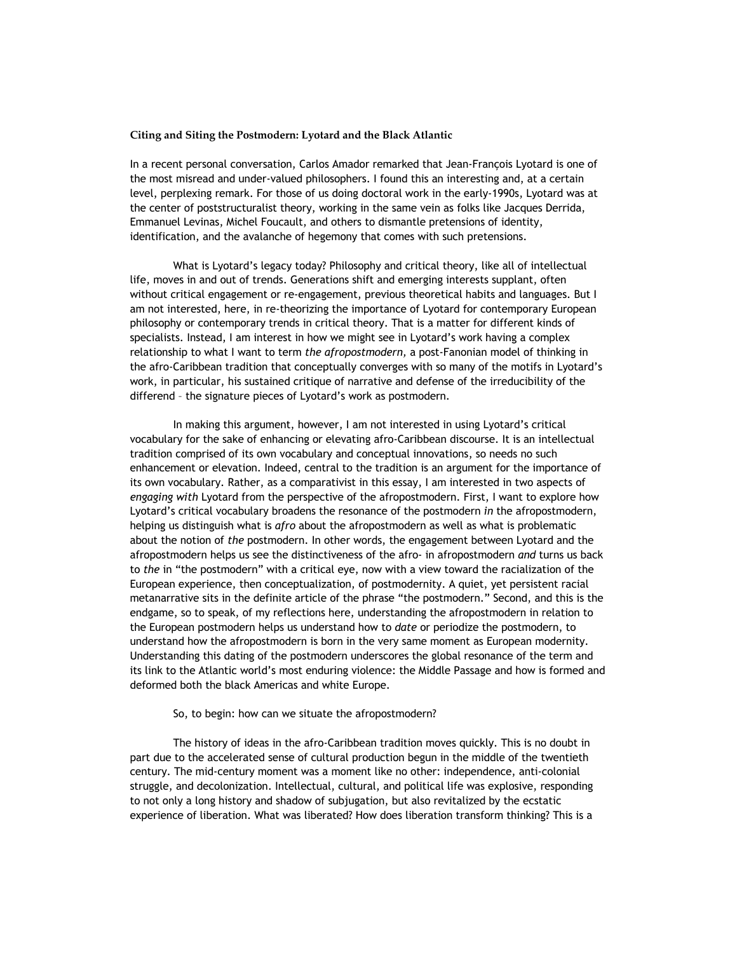## **Citing and Siting the Postmodern: Lyotard and the Black Atlantic**

In a recent personal conversation, Carlos Amador remarked that Jean-François Lyotard is one of the most misread and under-valued philosophers. I found this an interesting and, at a certain level, perplexing remark. For those of us doing doctoral work in the early-1990s, Lyotard was at the center of poststructuralist theory, working in the same vein as folks like Jacques Derrida, Emmanuel Levinas, Michel Foucault, and others to dismantle pretensions of identity, identification, and the avalanche of hegemony that comes with such pretensions.

What is Lyotard's legacy today? Philosophy and critical theory, like all of intellectual life, moves in and out of trends. Generations shift and emerging interests supplant, often without critical engagement or re-engagement, previous theoretical habits and languages. But I am not interested, here, in re-theorizing the importance of Lyotard for contemporary European philosophy or contemporary trends in critical theory. That is a matter for different kinds of specialists. Instead, I am interest in how we might see in Lyotard's work having a complex relationship to what I want to term *the afropostmodern,* a post-Fanonian model of thinking in the afro-Caribbean tradition that conceptually converges with so many of the motifs in Lyotard's work, in particular, his sustained critique of narrative and defense of the irreducibility of the differend – the signature pieces of Lyotard's work as postmodern.

In making this argument, however, I am not interested in using Lyotard's critical vocabulary for the sake of enhancing or elevating afro-Caribbean discourse. It is an intellectual tradition comprised of its own vocabulary and conceptual innovations, so needs no such enhancement or elevation. Indeed, central to the tradition is an argument for the importance of its own vocabulary. Rather, as a comparativist in this essay, I am interested in two aspects of *engaging with* Lyotard from the perspective of the afropostmodern. First, I want to explore how Lyotard's critical vocabulary broadens the resonance of the postmodern *in* the afropostmodern, helping us distinguish what is *afro* about the afropostmodern as well as what is problematic about the notion of *the* postmodern. In other words, the engagement between Lyotard and the afropostmodern helps us see the distinctiveness of the afro- in afropostmodern *and* turns us back to *the* in "the postmodern" with a critical eye, now with a view toward the racialization of the European experience, then conceptualization, of postmodernity. A quiet, yet persistent racial metanarrative sits in the definite article of the phrase "the postmodern." Second, and this is the endgame, so to speak, of my reflections here, understanding the afropostmodern in relation to the European postmodern helps us understand how to *date* or periodize the postmodern, to understand how the afropostmodern is born in the very same moment as European modernity. Understanding this dating of the postmodern underscores the global resonance of the term and its link to the Atlantic world's most enduring violence: the Middle Passage and how is formed and deformed both the black Americas and white Europe.

## So, to begin: how can we situate the afropostmodern?

The history of ideas in the afro-Caribbean tradition moves quickly. This is no doubt in part due to the accelerated sense of cultural production begun in the middle of the twentieth century. The mid-century moment was a moment like no other: independence, anti-colonial struggle, and decolonization. Intellectual, cultural, and political life was explosive, responding to not only a long history and shadow of subjugation, but also revitalized by the ecstatic experience of liberation. What was liberated? How does liberation transform thinking? This is a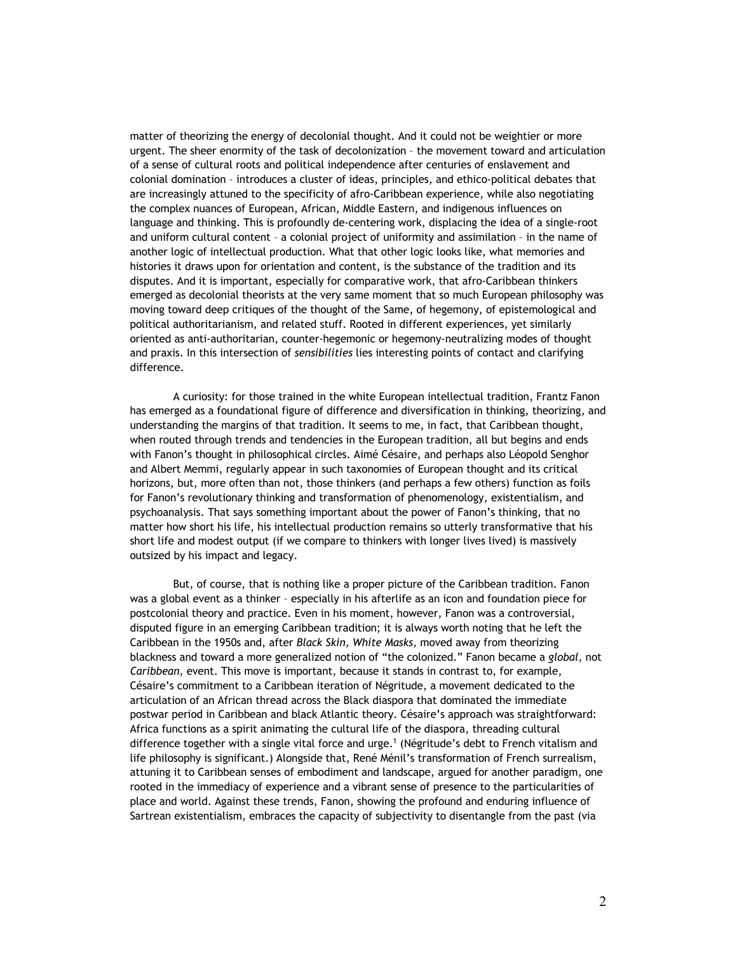matter of theorizing the energy of decolonial thought. And it could not be weightier or more urgent. The sheer enormity of the task of decolonization – the movement toward and articulation of a sense of cultural roots and political independence after centuries of enslavement and colonial domination – introduces a cluster of ideas, principles, and ethico-political debates that are increasingly attuned to the specificity of afro-Caribbean experience, while also negotiating the complex nuances of European, African, Middle Eastern, and indigenous influences on language and thinking. This is profoundly de-centering work, displacing the idea of a single-root and uniform cultural content – a colonial project of uniformity and assimilation – in the name of another logic of intellectual production. What that other logic looks like, what memories and histories it draws upon for orientation and content, is the substance of the tradition and its disputes. And it is important, especially for comparative work, that afro-Caribbean thinkers emerged as decolonial theorists at the very same moment that so much European philosophy was moving toward deep critiques of the thought of the Same, of hegemony, of epistemological and political authoritarianism, and related stuff. Rooted in different experiences, yet similarly oriented as anti-authoritarian, counter-hegemonic or hegemony-neutralizing modes of thought and praxis. In this intersection of *sensibilities* lies interesting points of contact and clarifying difference.

A curiosity: for those trained in the white European intellectual tradition, Frantz Fanon has emerged as a foundational figure of difference and diversification in thinking, theorizing, and understanding the margins of that tradition. It seems to me, in fact, that Caribbean thought, when routed through trends and tendencies in the European tradition, all but begins and ends with Fanon's thought in philosophical circles. Aimé Césaire, and perhaps also Léopold Senghor and Albert Memmi, regularly appear in such taxonomies of European thought and its critical horizons, but, more often than not, those thinkers (and perhaps a few others) function as foils for Fanon's revolutionary thinking and transformation of phenomenology, existentialism, and psychoanalysis. That says something important about the power of Fanon's thinking, that no matter how short his life, his intellectual production remains so utterly transformative that his short life and modest output (if we compare to thinkers with longer lives lived) is massively outsized by his impact and legacy.

But, of course, that is nothing like a proper picture of the Caribbean tradition. Fanon was a global event as a thinker – especially in his afterlife as an icon and foundation piece for postcolonial theory and practice. Even in his moment, however, Fanon was a controversial, disputed figure in an emerging Caribbean tradition; it is always worth noting that he left the Caribbean in the 1950s and, after *Black Skin, White Masks,* moved away from theorizing blackness and toward a more generalized notion of "the colonized." Fanon became a *global,* not *Caribbean,* event. This move is important, because it stands in contrast to, for example, Césaire's commitment to a Caribbean iteration of Négritude, a movement dedicated to the articulation of an African thread across the Black diaspora that dominated the immediate postwar period in Caribbean and black Atlantic theory. Césaire's approach was straightforward: Africa functions as a spirit animating the cultural life of the diaspora, threading cultural difference together with a single vital force and urge.1 (Négritude's debt to French vitalism and life philosophy is significant.) Alongside that, René Ménil's transformation of French surrealism, attuning it to Caribbean senses of embodiment and landscape, argued for another paradigm, one rooted in the immediacy of experience and a vibrant sense of presence to the particularities of place and world. Against these trends, Fanon, showing the profound and enduring influence of Sartrean existentialism, embraces the capacity of subjectivity to disentangle from the past (via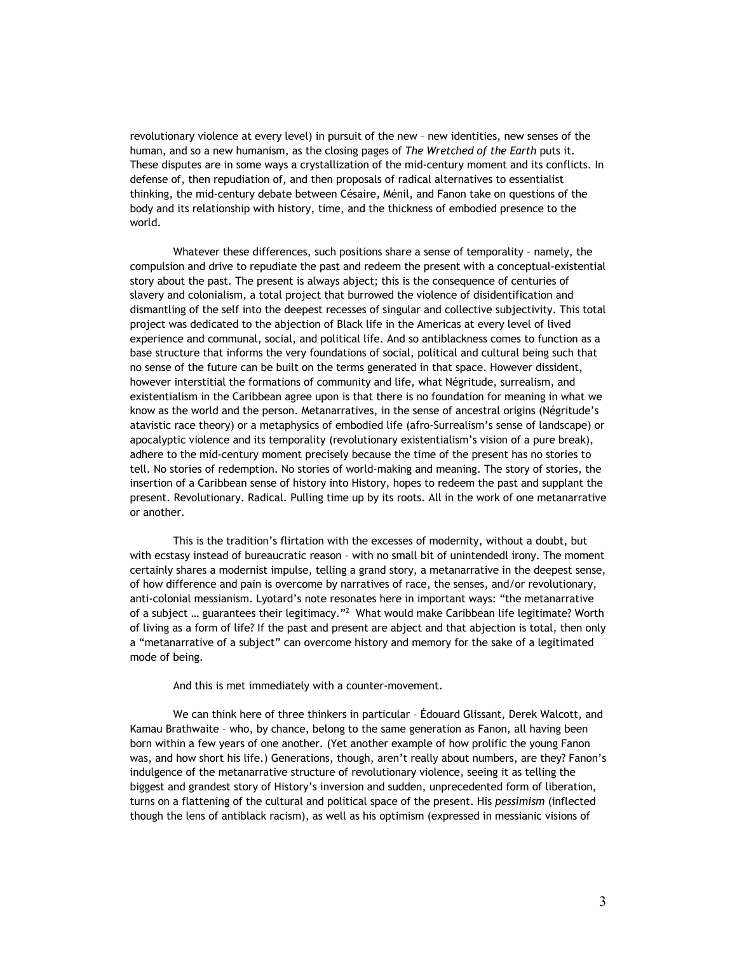revolutionary violence at every level) in pursuit of the new – new identities, new senses of the human, and so a new humanism, as the closing pages of *The Wretched of the Earth* puts it. These disputes are in some ways a crystallization of the mid-century moment and its conflicts. In defense of, then repudiation of, and then proposals of radical alternatives to essentialist thinking, the mid-century debate between Césaire, Ménil, and Fanon take on questions of the body and its relationship with history, time, and the thickness of embodied presence to the world.

Whatever these differences, such positions share a sense of temporality – namely, the compulsion and drive to repudiate the past and redeem the present with a conceptual-existential story about the past. The present is always abject; this is the consequence of centuries of slavery and colonialism, a total project that burrowed the violence of disidentification and dismantling of the self into the deepest recesses of singular and collective subjectivity. This total project was dedicated to the abjection of Black life in the Americas at every level of lived experience and communal, social, and political life. And so antiblackness comes to function as a base structure that informs the very foundations of social, political and cultural being such that no sense of the future can be built on the terms generated in that space. However dissident, however interstitial the formations of community and life, what Négritude, surrealism, and existentialism in the Caribbean agree upon is that there is no foundation for meaning in what we know as the world and the person. Metanarratives, in the sense of ancestral origins (Négritude's atavistic race theory) or a metaphysics of embodied life (afro-Surrealism's sense of landscape) or apocalyptic violence and its temporality (revolutionary existentialism's vision of a pure break), adhere to the mid-century moment precisely because the time of the present has no stories to tell. No stories of redemption. No stories of world-making and meaning. The story of stories, the insertion of a Caribbean sense of history into History, hopes to redeem the past and supplant the present. Revolutionary. Radical. Pulling time up by its roots. All in the work of one metanarrative or another.

This is the tradition's flirtation with the excesses of modernity, without a doubt, but with ecstasy instead of bureaucratic reason – with no small bit of unintendedl irony. The moment certainly shares a modernist impulse, telling a grand story, a metanarrative in the deepest sense, of how difference and pain is overcome by narratives of race, the senses, and/or revolutionary, anti-colonial messianism. Lyotard's note resonates here in important ways: "the metanarrative of a subject ... guarantees their legitimacy."<sup>2</sup> What would make Caribbean life legitimate? Worth of living as a form of life? If the past and present are abject and that abjection is total, then only a "metanarrative of a subject" can overcome history and memory for the sake of a legitimated mode of being.

And this is met immediately with a counter-movement.

We can think here of three thinkers in particular – Édouard Glissant, Derek Walcott, and Kamau Brathwaite – who, by chance, belong to the same generation as Fanon, all having been born within a few years of one another. (Yet another example of how prolific the young Fanon was, and how short his life.) Generations, though, aren't really about numbers, are they? Fanon's indulgence of the metanarrative structure of revolutionary violence, seeing it as telling the biggest and grandest story of History's inversion and sudden, unprecedented form of liberation, turns on a flattening of the cultural and political space of the present. His *pessimism* (inflected though the lens of antiblack racism), as well as his optimism (expressed in messianic visions of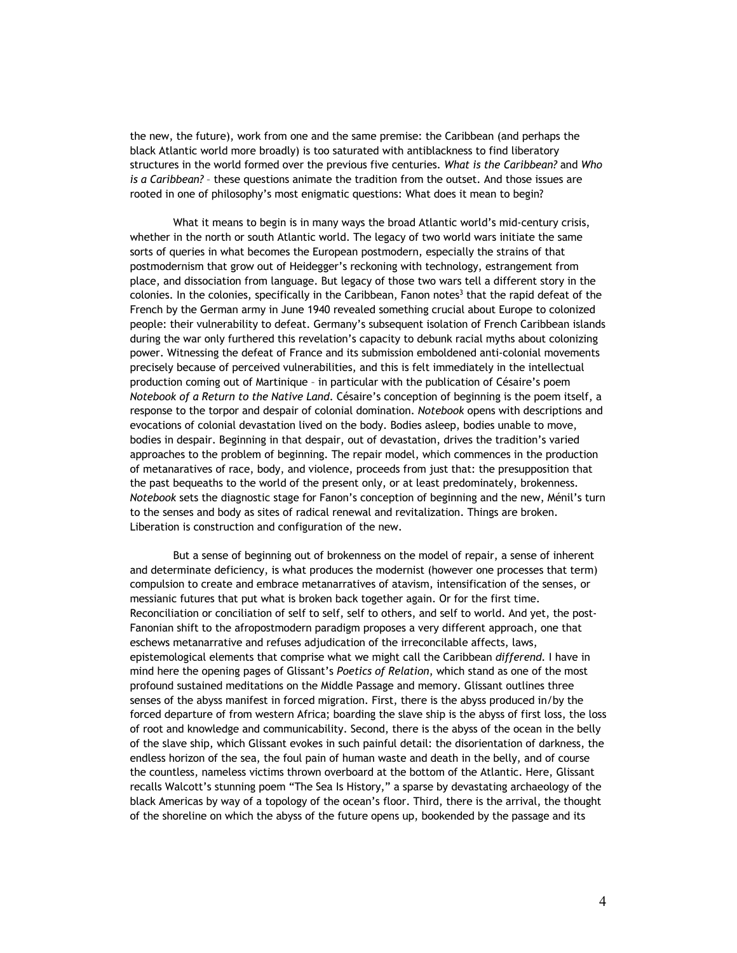the new, the future), work from one and the same premise: the Caribbean (and perhaps the black Atlantic world more broadly) is too saturated with antiblackness to find liberatory structures in the world formed over the previous five centuries. *What is the Caribbean?* and *Who is a Caribbean?* – these questions animate the tradition from the outset. And those issues are rooted in one of philosophy's most enigmatic questions: What does it mean to begin?

What it means to begin is in many ways the broad Atlantic world's mid-century crisis, whether in the north or south Atlantic world. The legacy of two world wars initiate the same sorts of queries in what becomes the European postmodern, especially the strains of that postmodernism that grow out of Heidegger's reckoning with technology, estrangement from place, and dissociation from language. But legacy of those two wars tell a different story in the colonies. In the colonies, specifically in the Caribbean, Fanon notes $3$  that the rapid defeat of the French by the German army in June 1940 revealed something crucial about Europe to colonized people: their vulnerability to defeat. Germany's subsequent isolation of French Caribbean islands during the war only furthered this revelation's capacity to debunk racial myths about colonizing power. Witnessing the defeat of France and its submission emboldened anti-colonial movements precisely because of perceived vulnerabilities, and this is felt immediately in the intellectual production coming out of Martinique – in particular with the publication of Césaire's poem *Notebook of a Return to the Native Land*. Césaire's conception of beginning is the poem itself, a response to the torpor and despair of colonial domination. *Notebook* opens with descriptions and evocations of colonial devastation lived on the body. Bodies asleep, bodies unable to move, bodies in despair. Beginning in that despair, out of devastation, drives the tradition's varied approaches to the problem of beginning. The repair model, which commences in the production of metanaratives of race, body, and violence, proceeds from just that: the presupposition that the past bequeaths to the world of the present only, or at least predominately, brokenness. *Notebook* sets the diagnostic stage for Fanon's conception of beginning and the new, Ménil's turn to the senses and body as sites of radical renewal and revitalization. Things are broken. Liberation is construction and configuration of the new.

But a sense of beginning out of brokenness on the model of repair, a sense of inherent and determinate deficiency, is what produces the modernist (however one processes that term) compulsion to create and embrace metanarratives of atavism, intensification of the senses, or messianic futures that put what is broken back together again. Or for the first time. Reconciliation or conciliation of self to self, self to others, and self to world. And yet, the post-Fanonian shift to the afropostmodern paradigm proposes a very different approach, one that eschews metanarrative and refuses adjudication of the irreconcilable affects, laws, epistemological elements that comprise what we might call the Caribbean *differend.* I have in mind here the opening pages of Glissant's *Poetics of Relation*, which stand as one of the most profound sustained meditations on the Middle Passage and memory. Glissant outlines three senses of the abyss manifest in forced migration. First, there is the abyss produced in/by the forced departure of from western Africa; boarding the slave ship is the abyss of first loss, the loss of root and knowledge and communicability. Second, there is the abyss of the ocean in the belly of the slave ship, which Glissant evokes in such painful detail: the disorientation of darkness, the endless horizon of the sea, the foul pain of human waste and death in the belly, and of course the countless, nameless victims thrown overboard at the bottom of the Atlantic. Here, Glissant recalls Walcott's stunning poem "The Sea Is History," a sparse by devastating archaeology of the black Americas by way of a topology of the ocean's floor. Third, there is the arrival, the thought of the shoreline on which the abyss of the future opens up, bookended by the passage and its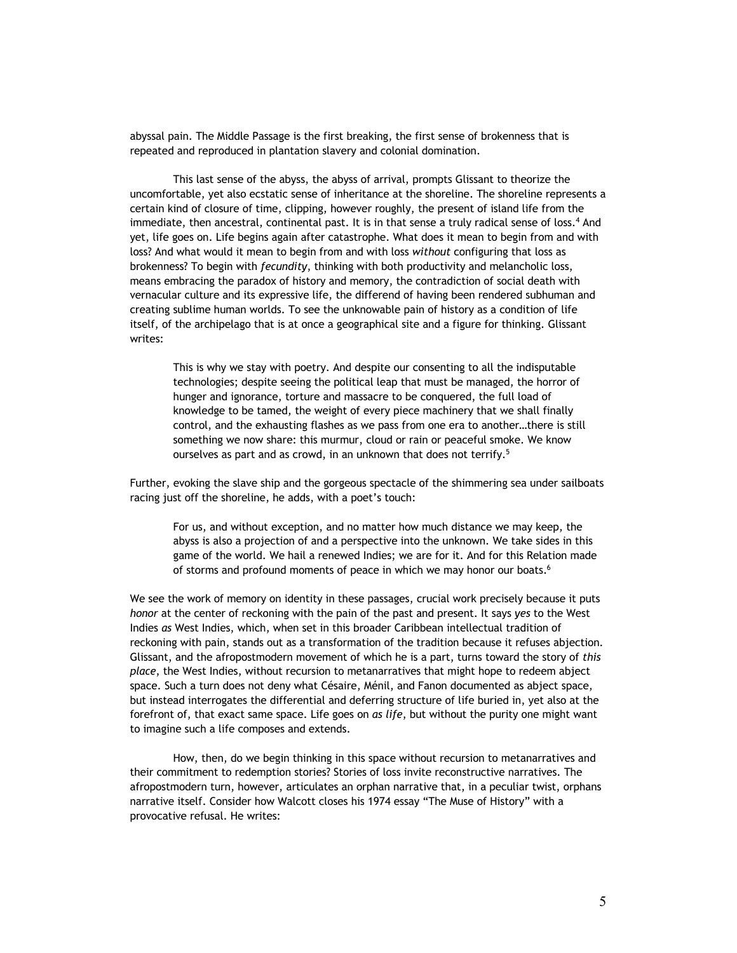abyssal pain. The Middle Passage is the first breaking, the first sense of brokenness that is repeated and reproduced in plantation slavery and colonial domination.

This last sense of the abyss, the abyss of arrival, prompts Glissant to theorize the uncomfortable, yet also ecstatic sense of inheritance at the shoreline. The shoreline represents a certain kind of closure of time, clipping, however roughly, the present of island life from the immediate, then ancestral, continental past. It is in that sense a truly radical sense of loss.<sup>4</sup> And yet, life goes on. Life begins again after catastrophe. What does it mean to begin from and with loss? And what would it mean to begin from and with loss *without* configuring that loss as brokenness? To begin with *fecundity*, thinking with both productivity and melancholic loss, means embracing the paradox of history and memory, the contradiction of social death with vernacular culture and its expressive life, the differend of having been rendered subhuman and creating sublime human worlds. To see the unknowable pain of history as a condition of life itself, of the archipelago that is at once a geographical site and a figure for thinking. Glissant writes:

This is why we stay with poetry. And despite our consenting to all the indisputable technologies; despite seeing the political leap that must be managed, the horror of hunger and ignorance, torture and massacre to be conquered, the full load of knowledge to be tamed, the weight of every piece machinery that we shall finally control, and the exhausting flashes as we pass from one era to another…there is still something we now share: this murmur, cloud or rain or peaceful smoke. We know ourselves as part and as crowd, in an unknown that does not terrify.<sup>5</sup>

Further, evoking the slave ship and the gorgeous spectacle of the shimmering sea under sailboats racing just off the shoreline, he adds, with a poet's touch:

For us, and without exception, and no matter how much distance we may keep, the abyss is also a projection of and a perspective into the unknown. We take sides in this game of the world. We hail a renewed Indies; we are for it. And for this Relation made of storms and profound moments of peace in which we may honor our boats.<sup>6</sup>

We see the work of memory on identity in these passages, crucial work precisely because it puts *honor* at the center of reckoning with the pain of the past and present. It says *yes* to the West Indies *as* West Indies, which, when set in this broader Caribbean intellectual tradition of reckoning with pain, stands out as a transformation of the tradition because it refuses abjection. Glissant, and the afropostmodern movement of which he is a part, turns toward the story of *this place*, the West Indies, without recursion to metanarratives that might hope to redeem abject space. Such a turn does not deny what Césaire, Ménil, and Fanon documented as abject space, but instead interrogates the differential and deferring structure of life buried in, yet also at the forefront of, that exact same space. Life goes on *as life*, but without the purity one might want to imagine such a life composes and extends.

How, then, do we begin thinking in this space without recursion to metanarratives and their commitment to redemption stories? Stories of loss invite reconstructive narratives. The afropostmodern turn, however, articulates an orphan narrative that, in a peculiar twist, orphans narrative itself. Consider how Walcott closes his 1974 essay "The Muse of History" with a provocative refusal. He writes: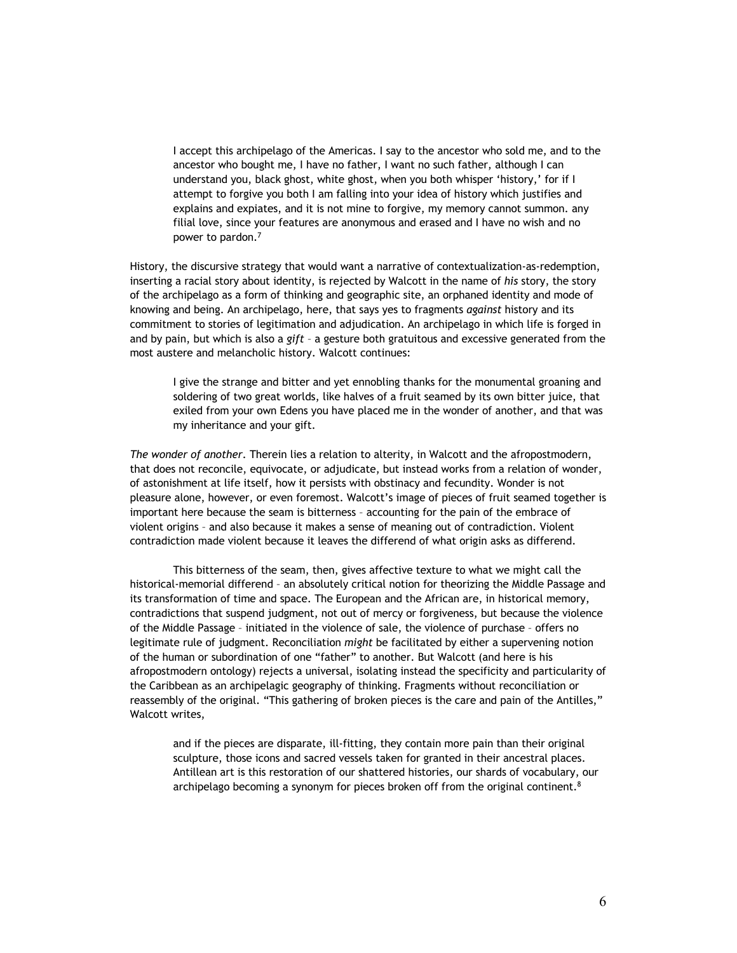I accept this archipelago of the Americas. I say to the ancestor who sold me, and to the ancestor who bought me, I have no father, I want no such father, although I can understand you, black ghost, white ghost, when you both whisper 'history,' for if I attempt to forgive you both I am falling into your idea of history which justifies and explains and expiates, and it is not mine to forgive, my memory cannot summon. any filial love, since your features are anonymous and erased and I have no wish and no power to pardon.7

History, the discursive strategy that would want a narrative of contextualization-as-redemption, inserting a racial story about identity, is rejected by Walcott in the name of *his* story, the story of the archipelago as a form of thinking and geographic site, an orphaned identity and mode of knowing and being. An archipelago, here, that says yes to fragments *against* history and its commitment to stories of legitimation and adjudication. An archipelago in which life is forged in and by pain, but which is also a *gift* – a gesture both gratuitous and excessive generated from the most austere and melancholic history. Walcott continues:

I give the strange and bitter and yet ennobling thanks for the monumental groaning and soldering of two great worlds, like halves of a fruit seamed by its own bitter juice, that exiled from your own Edens you have placed me in the wonder of another, and that was my inheritance and your gift.

*The wonder of another*. Therein lies a relation to alterity, in Walcott and the afropostmodern, that does not reconcile, equivocate, or adjudicate, but instead works from a relation of wonder, of astonishment at life itself, how it persists with obstinacy and fecundity. Wonder is not pleasure alone, however, or even foremost. Walcott's image of pieces of fruit seamed together is important here because the seam is bitterness – accounting for the pain of the embrace of violent origins – and also because it makes a sense of meaning out of contradiction. Violent contradiction made violent because it leaves the differend of what origin asks as differend.

This bitterness of the seam, then, gives affective texture to what we might call the historical-memorial differend – an absolutely critical notion for theorizing the Middle Passage and its transformation of time and space. The European and the African are, in historical memory, contradictions that suspend judgment, not out of mercy or forgiveness, but because the violence of the Middle Passage – initiated in the violence of sale, the violence of purchase – offers no legitimate rule of judgment. Reconciliation *might* be facilitated by either a supervening notion of the human or subordination of one "father" to another. But Walcott (and here is his afropostmodern ontology) rejects a universal, isolating instead the specificity and particularity of the Caribbean as an archipelagic geography of thinking. Fragments without reconciliation or reassembly of the original. "This gathering of broken pieces is the care and pain of the Antilles," Walcott writes,

and if the pieces are disparate, ill-fitting, they contain more pain than their original sculpture, those icons and sacred vessels taken for granted in their ancestral places. Antillean art is this restoration of our shattered histories, our shards of vocabulary, our archipelago becoming a synonym for pieces broken off from the original continent.<sup>8</sup>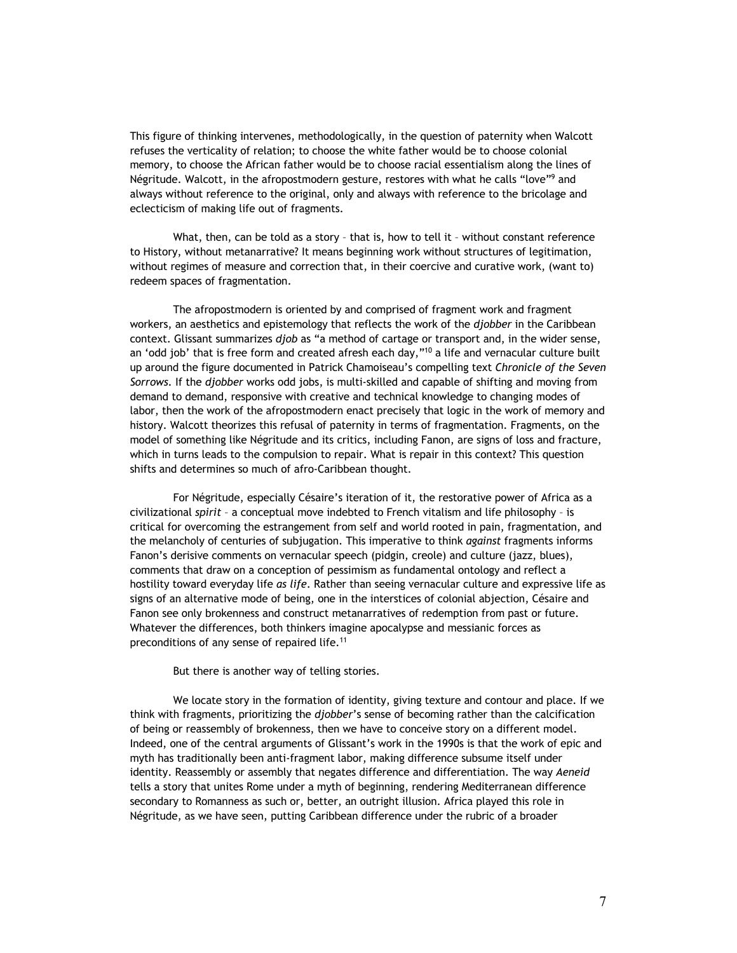This figure of thinking intervenes, methodologically, in the question of paternity when Walcott refuses the verticality of relation; to choose the white father would be to choose colonial memory, to choose the African father would be to choose racial essentialism along the lines of Négritude. Walcott, in the afropostmodern gesture, restores with what he calls "love"<sup>9</sup> and always without reference to the original, only and always with reference to the bricolage and eclecticism of making life out of fragments.

What, then, can be told as a story - that is, how to tell it - without constant reference to History, without metanarrative? It means beginning work without structures of legitimation, without regimes of measure and correction that, in their coercive and curative work, (want to) redeem spaces of fragmentation.

The afropostmodern is oriented by and comprised of fragment work and fragment workers, an aesthetics and epistemology that reflects the work of the *djobber* in the Caribbean context. Glissant summarizes *djob* as "a method of cartage or transport and, in the wider sense, an 'odd job' that is free form and created afresh each day,"<sup>10</sup> a life and vernacular culture built up around the figure documented in Patrick Chamoiseau's compelling text *Chronicle of the Seven Sorrows.* If the *djobber* works odd jobs, is multi-skilled and capable of shifting and moving from demand to demand, responsive with creative and technical knowledge to changing modes of labor, then the work of the afropostmodern enact precisely that logic in the work of memory and history. Walcott theorizes this refusal of paternity in terms of fragmentation. Fragments, on the model of something like Négritude and its critics, including Fanon, are signs of loss and fracture, which in turns leads to the compulsion to repair. What is repair in this context? This question shifts and determines so much of afro-Caribbean thought.

For Négritude, especially Césaire's iteration of it, the restorative power of Africa as a civilizational *spirit* – a conceptual move indebted to French vitalism and life philosophy – is critical for overcoming the estrangement from self and world rooted in pain, fragmentation, and the melancholy of centuries of subjugation. This imperative to think *against* fragments informs Fanon's derisive comments on vernacular speech (pidgin, creole) and culture (jazz, blues), comments that draw on a conception of pessimism as fundamental ontology and reflect a hostility toward everyday life *as life*. Rather than seeing vernacular culture and expressive life as signs of an alternative mode of being, one in the interstices of colonial abjection, Césaire and Fanon see only brokenness and construct metanarratives of redemption from past or future. Whatever the differences, both thinkers imagine apocalypse and messianic forces as preconditions of any sense of repaired life.<sup>11</sup>

But there is another way of telling stories.

We locate story in the formation of identity, giving texture and contour and place. If we think with fragments, prioritizing the *djobber*'s sense of becoming rather than the calcification of being or reassembly of brokenness, then we have to conceive story on a different model. Indeed, one of the central arguments of Glissant's work in the 1990s is that the work of epic and myth has traditionally been anti-fragment labor, making difference subsume itself under identity. Reassembly or assembly that negates difference and differentiation. The way *Aeneid*  tells a story that unites Rome under a myth of beginning, rendering Mediterranean difference secondary to Romanness as such or, better, an outright illusion. Africa played this role in Négritude, as we have seen, putting Caribbean difference under the rubric of a broader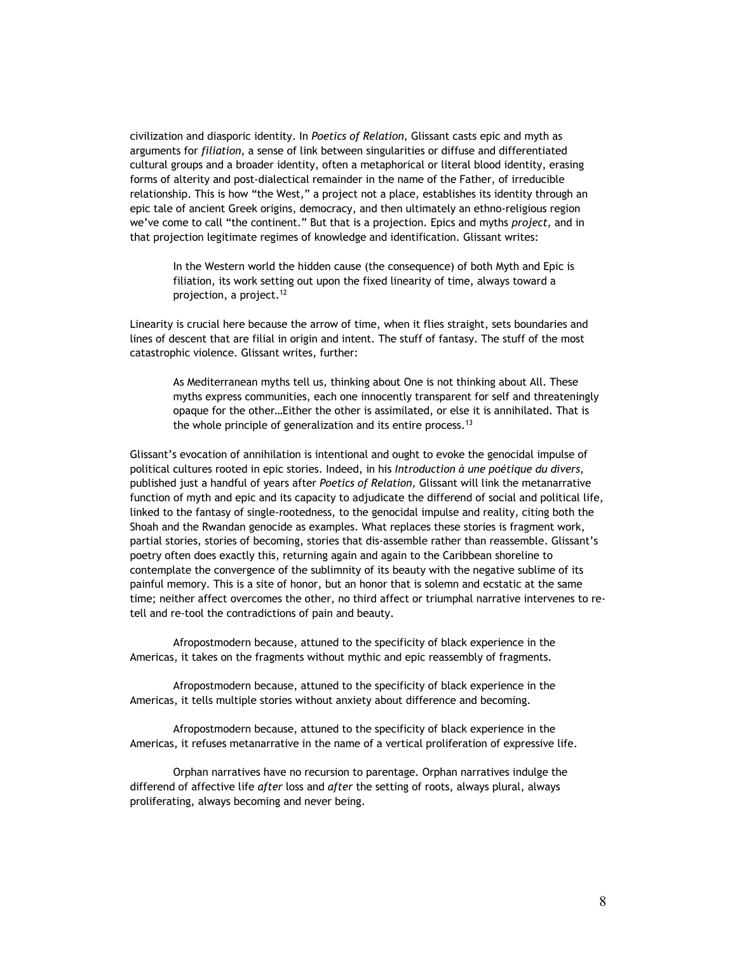civilization and diasporic identity. In *Poetics of Relation,* Glissant casts epic and myth as arguments for *filiation*, a sense of link between singularities or diffuse and differentiated cultural groups and a broader identity, often a metaphorical or literal blood identity, erasing forms of alterity and post-dialectical remainder in the name of the Father, of irreducible relationship. This is how "the West," a project not a place, establishes its identity through an epic tale of ancient Greek origins, democracy, and then ultimately an ethno-religious region we've come to call "the continent." But that is a projection. Epics and myths *project*, and in that projection legitimate regimes of knowledge and identification. Glissant writes:

In the Western world the hidden cause (the consequence) of both Myth and Epic is filiation, its work setting out upon the fixed linearity of time, always toward a projection, a project.<sup>12</sup>

Linearity is crucial here because the arrow of time, when it flies straight, sets boundaries and lines of descent that are filial in origin and intent. The stuff of fantasy. The stuff of the most catastrophic violence. Glissant writes, further:

As Mediterranean myths tell us, thinking about One is not thinking about All. These myths express communities, each one innocently transparent for self and threateningly opaque for the other…Either the other is assimilated, or else it is annihilated. That is the whole principle of generalization and its entire process.<sup>13</sup>

Glissant's evocation of annihilation is intentional and ought to evoke the genocidal impulse of political cultures rooted in epic stories. Indeed, in his *Introduction à une poétique du divers,* published just a handful of years after *Poetics of Relation,* Glissant will link the metanarrative function of myth and epic and its capacity to adjudicate the differend of social and political life, linked to the fantasy of single-rootedness, to the genocidal impulse and reality, citing both the Shoah and the Rwandan genocide as examples. What replaces these stories is fragment work, partial stories, stories of becoming, stories that dis-assemble rather than reassemble. Glissant's poetry often does exactly this, returning again and again to the Caribbean shoreline to contemplate the convergence of the sublimnity of its beauty with the negative sublime of its painful memory. This is a site of honor, but an honor that is solemn and ecstatic at the same time; neither affect overcomes the other, no third affect or triumphal narrative intervenes to retell and re-tool the contradictions of pain and beauty.

Afropostmodern because, attuned to the specificity of black experience in the Americas, it takes on the fragments without mythic and epic reassembly of fragments.

Afropostmodern because, attuned to the specificity of black experience in the Americas, it tells multiple stories without anxiety about difference and becoming.

Afropostmodern because, attuned to the specificity of black experience in the Americas, it refuses metanarrative in the name of a vertical proliferation of expressive life.

Orphan narratives have no recursion to parentage. Orphan narratives indulge the differend of affective life *after* loss and *after* the setting of roots, always plural, always proliferating, always becoming and never being.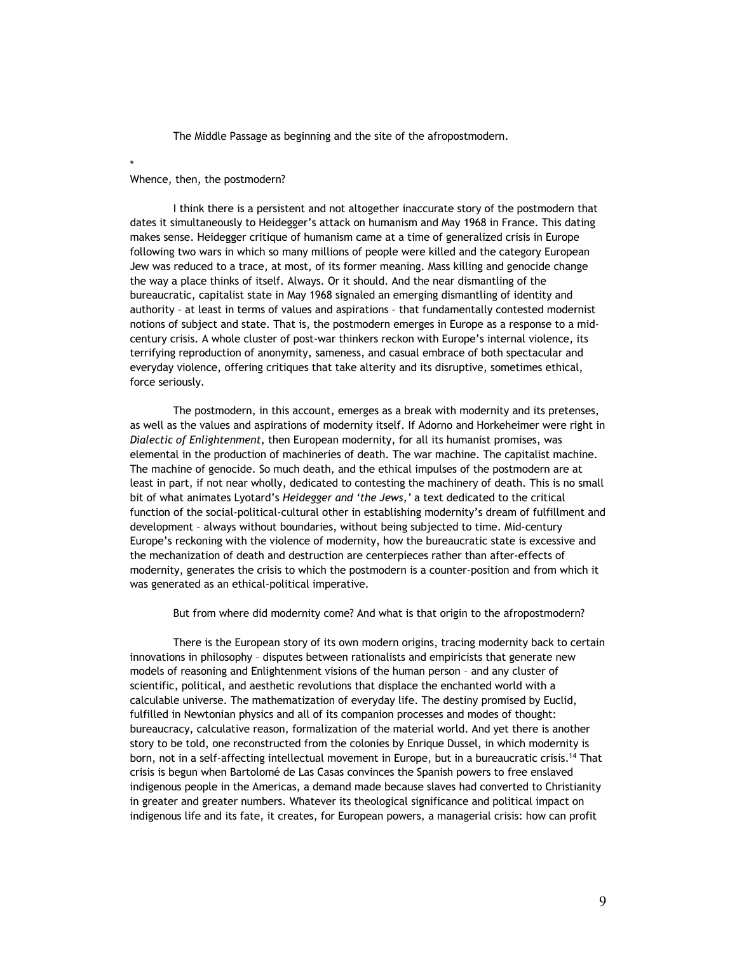The Middle Passage as beginning and the site of the afropostmodern.

## Whence, then, the postmodern?

\*

I think there is a persistent and not altogether inaccurate story of the postmodern that dates it simultaneously to Heidegger's attack on humanism and May 1968 in France. This dating makes sense. Heidegger critique of humanism came at a time of generalized crisis in Europe following two wars in which so many millions of people were killed and the category European Jew was reduced to a trace, at most, of its former meaning. Mass killing and genocide change the way a place thinks of itself. Always. Or it should. And the near dismantling of the bureaucratic, capitalist state in May 1968 signaled an emerging dismantling of identity and authority – at least in terms of values and aspirations – that fundamentally contested modernist notions of subject and state. That is, the postmodern emerges in Europe as a response to a midcentury crisis. A whole cluster of post-war thinkers reckon with Europe's internal violence, its terrifying reproduction of anonymity, sameness, and casual embrace of both spectacular and everyday violence, offering critiques that take alterity and its disruptive, sometimes ethical, force seriously.

The postmodern, in this account, emerges as a break with modernity and its pretenses, as well as the values and aspirations of modernity itself. If Adorno and Horkeheimer were right in *Dialectic of Enlightenment*, then European modernity, for all its humanist promises, was elemental in the production of machineries of death. The war machine. The capitalist machine. The machine of genocide. So much death, and the ethical impulses of the postmodern are at least in part, if not near wholly, dedicated to contesting the machinery of death. This is no small bit of what animates Lyotard's *Heidegger and 'the Jews,'* a text dedicated to the critical function of the social-political-cultural other in establishing modernity's dream of fulfillment and development – always without boundaries, without being subjected to time. Mid-century Europe's reckoning with the violence of modernity, how the bureaucratic state is excessive and the mechanization of death and destruction are centerpieces rather than after-effects of modernity, generates the crisis to which the postmodern is a counter-position and from which it was generated as an ethical-political imperative.

But from where did modernity come? And what is that origin to the afropostmodern?

There is the European story of its own modern origins, tracing modernity back to certain innovations in philosophy – disputes between rationalists and empiricists that generate new models of reasoning and Enlightenment visions of the human person – and any cluster of scientific, political, and aesthetic revolutions that displace the enchanted world with a calculable universe. The mathematization of everyday life. The destiny promised by Euclid, fulfilled in Newtonian physics and all of its companion processes and modes of thought: bureaucracy, calculative reason, formalization of the material world. And yet there is another story to be told, one reconstructed from the colonies by Enrique Dussel, in which modernity is born, not in a self-affecting intellectual movement in Europe, but in a bureaucratic crisis.<sup>14</sup> That crisis is begun when Bartolomé de Las Casas convinces the Spanish powers to free enslaved indigenous people in the Americas, a demand made because slaves had converted to Christianity in greater and greater numbers. Whatever its theological significance and political impact on indigenous life and its fate, it creates, for European powers, a managerial crisis: how can profit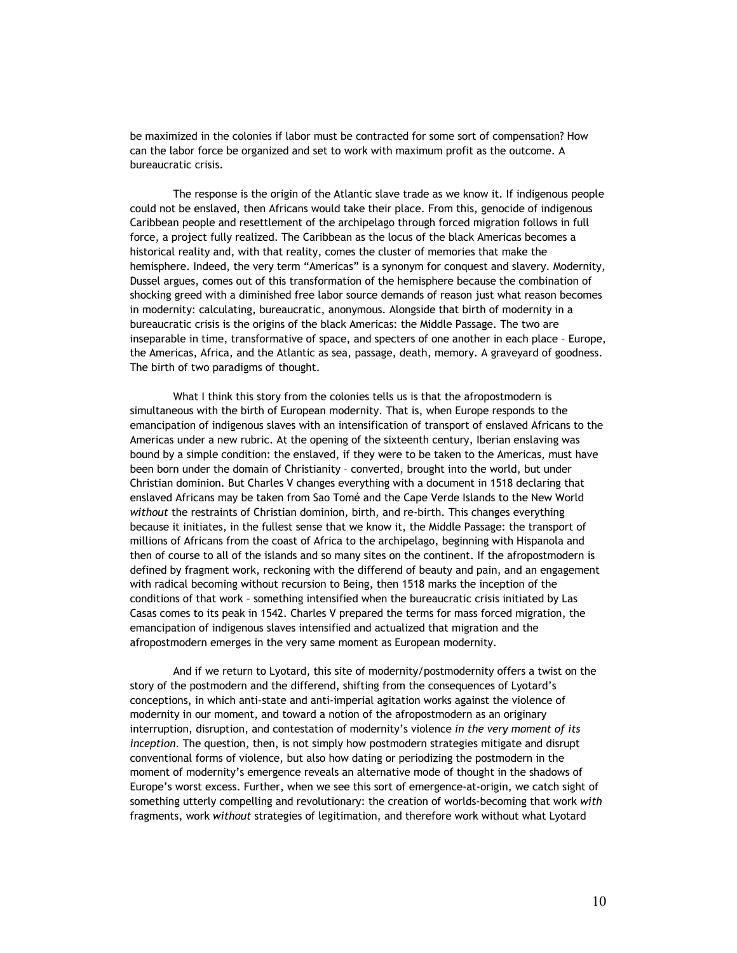be maximized in the colonies if labor must be contracted for some sort of compensation? How can the labor force be organized and set to work with maximum profit as the outcome. A bureaucratic crisis.

The response is the origin of the Atlantic slave trade as we know it. If indigenous people could not be enslaved, then Africans would take their place. From this, genocide of indigenous Caribbean people and resettlement of the archipelago through forced migration follows in full force, a project fully realized. The Caribbean as the locus of the black Americas becomes a historical reality and, with that reality, comes the cluster of memories that make the hemisphere. Indeed, the very term "Americas" is a synonym for conquest and slavery. Modernity, Dussel argues, comes out of this transformation of the hemisphere because the combination of shocking greed with a diminished free labor source demands of reason just what reason becomes in modernity: calculating, bureaucratic, anonymous. Alongside that birth of modernity in a bureaucratic crisis is the origins of the black Americas: the Middle Passage. The two are inseparable in time, transformative of space, and specters of one another in each place – Europe, the Americas, Africa, and the Atlantic as sea, passage, death, memory. A graveyard of goodness. The birth of two paradigms of thought.

What I think this story from the colonies tells us is that the afropostmodern is simultaneous with the birth of European modernity. That is, when Europe responds to the emancipation of indigenous slaves with an intensification of transport of enslaved Africans to the Americas under a new rubric. At the opening of the sixteenth century, Iberian enslaving was bound by a simple condition: the enslaved, if they were to be taken to the Americas, must have been born under the domain of Christianity – converted, brought into the world, but under Christian dominion. But Charles V changes everything with a document in 1518 declaring that enslaved Africans may be taken from Sao Tomé and the Cape Verde Islands to the New World *without* the restraints of Christian dominion, birth, and re-birth. This changes everything because it initiates, in the fullest sense that we know it, the Middle Passage: the transport of millions of Africans from the coast of Africa to the archipelago, beginning with Hispanola and then of course to all of the islands and so many sites on the continent. If the afropostmodern is defined by fragment work, reckoning with the differend of beauty and pain, and an engagement with radical becoming without recursion to Being, then 1518 marks the inception of the conditions of that work – something intensified when the bureaucratic crisis initiated by Las Casas comes to its peak in 1542. Charles V prepared the terms for mass forced migration, the emancipation of indigenous slaves intensified and actualized that migration and the afropostmodern emerges in the very same moment as European modernity.

And if we return to Lyotard, this site of modernity/postmodernity offers a twist on the story of the postmodern and the differend, shifting from the consequences of Lyotard's conceptions, in which anti-state and anti-imperial agitation works against the violence of modernity in our moment, and toward a notion of the afropostmodern as an originary interruption, disruption, and contestation of modernity's violence *in the very moment of its inception*. The question, then, is not simply how postmodern strategies mitigate and disrupt conventional forms of violence, but also how dating or periodizing the postmodern in the moment of modernity's emergence reveals an alternative mode of thought in the shadows of Europe's worst excess. Further, when we see this sort of emergence-at-origin, we catch sight of something utterly compelling and revolutionary: the creation of worlds-becoming that work *with*  fragments, work *without* strategies of legitimation, and therefore work without what Lyotard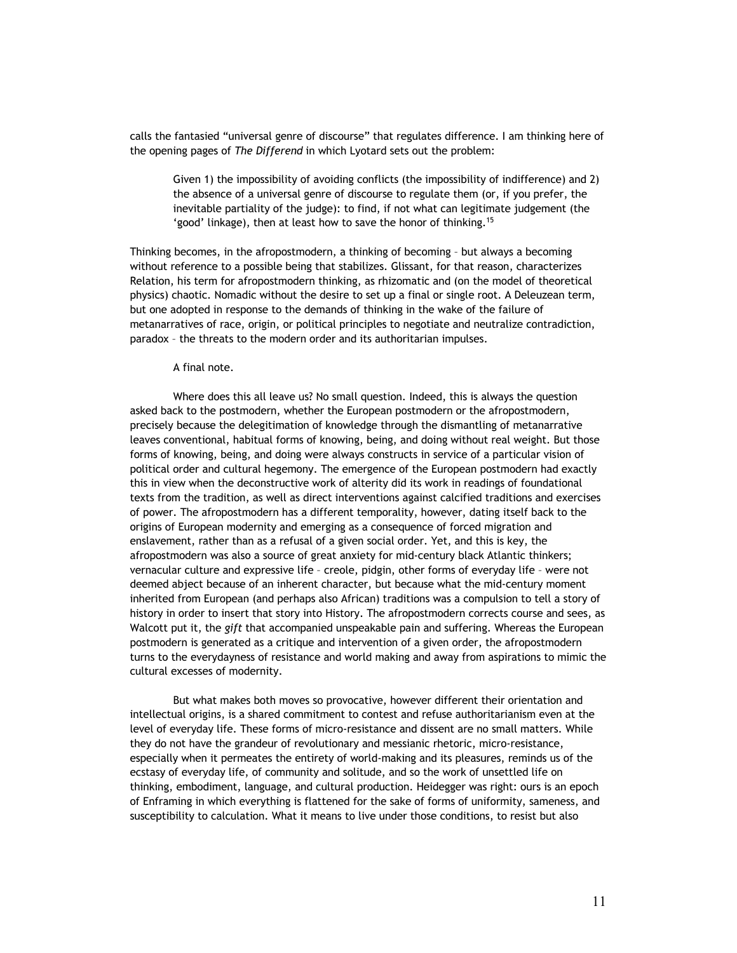calls the fantasied "universal genre of discourse" that regulates difference. I am thinking here of the opening pages of *The Differend* in which Lyotard sets out the problem:

Given 1) the impossibility of avoiding conflicts (the impossibility of indifference) and 2) the absence of a universal genre of discourse to regulate them (or, if you prefer, the inevitable partiality of the judge): to find, if not what can legitimate judgement (the 'good' linkage), then at least how to save the honor of thinking.15

Thinking becomes, in the afropostmodern, a thinking of becoming – but always a becoming without reference to a possible being that stabilizes. Glissant, for that reason, characterizes Relation, his term for afropostmodern thinking, as rhizomatic and (on the model of theoretical physics) chaotic. Nomadic without the desire to set up a final or single root. A Deleuzean term, but one adopted in response to the demands of thinking in the wake of the failure of metanarratives of race, origin, or political principles to negotiate and neutralize contradiction, paradox – the threats to the modern order and its authoritarian impulses.

## A final note.

Where does this all leave us? No small question. Indeed, this is always the question asked back to the postmodern, whether the European postmodern or the afropostmodern, precisely because the delegitimation of knowledge through the dismantling of metanarrative leaves conventional, habitual forms of knowing, being, and doing without real weight. But those forms of knowing, being, and doing were always constructs in service of a particular vision of political order and cultural hegemony. The emergence of the European postmodern had exactly this in view when the deconstructive work of alterity did its work in readings of foundational texts from the tradition, as well as direct interventions against calcified traditions and exercises of power. The afropostmodern has a different temporality, however, dating itself back to the origins of European modernity and emerging as a consequence of forced migration and enslavement, rather than as a refusal of a given social order. Yet, and this is key, the afropostmodern was also a source of great anxiety for mid-century black Atlantic thinkers; vernacular culture and expressive life – creole, pidgin, other forms of everyday life – were not deemed abject because of an inherent character, but because what the mid-century moment inherited from European (and perhaps also African) traditions was a compulsion to tell a story of history in order to insert that story into History. The afropostmodern corrects course and sees, as Walcott put it, the *gift* that accompanied unspeakable pain and suffering. Whereas the European postmodern is generated as a critique and intervention of a given order, the afropostmodern turns to the everydayness of resistance and world making and away from aspirations to mimic the cultural excesses of modernity.

But what makes both moves so provocative, however different their orientation and intellectual origins, is a shared commitment to contest and refuse authoritarianism even at the level of everyday life. These forms of micro-resistance and dissent are no small matters. While they do not have the grandeur of revolutionary and messianic rhetoric, micro-resistance, especially when it permeates the entirety of world-making and its pleasures, reminds us of the ecstasy of everyday life, of community and solitude, and so the work of unsettled life on thinking, embodiment, language, and cultural production. Heidegger was right: ours is an epoch of Enframing in which everything is flattened for the sake of forms of uniformity, sameness, and susceptibility to calculation. What it means to live under those conditions, to resist but also